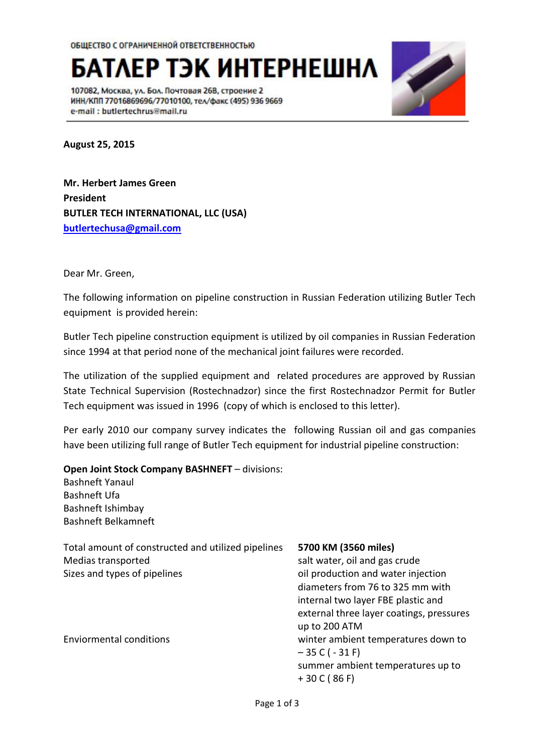**БАТЛЕР ТЭК ИНТЕРНЕШНЛ** 

107082, Москва, ул. Бол. Почтовая 26В, строение 2 ИНН/КПП 77016869696/77010100, тел/факс (495) 936 9669 e-mail: butlertechrus@mail.ru



**August 25, 2015**

**Mr. Herbert James Green President BUTLER TECH INTERNATIONAL, LLC (USA) [butlertechusa@gmail.com](mailto:butlertechusa@gmail.com)**

Dear Mr. Green,

The following information on pipeline construction in Russian Federation utilizing Butler Tech equipment is provided herein:

Butler Tech pipeline construction equipment is utilized by oil companies in Russian Federation since 1994 at that period none of the mechanical joint failures were recorded.

The utilization of the supplied equipment and related procedures are approved by Russian State Technical Supervision (Rostechnadzor) since the first Rostechnadzor Permit for Butler Tech equipment was issued in 1996 (copy of which is enclosed to this letter).

Per early 2010 our company survey indicates the following Russian oil and gas companies have been utilizing full range of Butler Tech equipment for industrial pipeline construction:

## **Open Joint Stock Company BASHNEFT** – divisions:

Bashneft Yanaul Bashneft Ufa Bashneft Ishimbay Bashneft Belkamneft

Total amount of constructed and utilized pipelines **5700 KM (3560 miles)** Medias transported salt water, oil and gas crude Sizes and types of pipelines on the state of pipelines of pipelines of pipelines of pipelines of pipelines of pipelines of pipelines of pipelines of pipelines of pipelines of pipelines of pipelines of pipelines of pipeline

diameters from 76 to 325 mm with internal two layer FBE plastic and external three layer coatings, pressures up to 200 ATM Enviormental conditions winter ambient temperatures down to  $-35$  C ( $-31$  F) summer ambient temperatures up to + 30 C ( 86 F)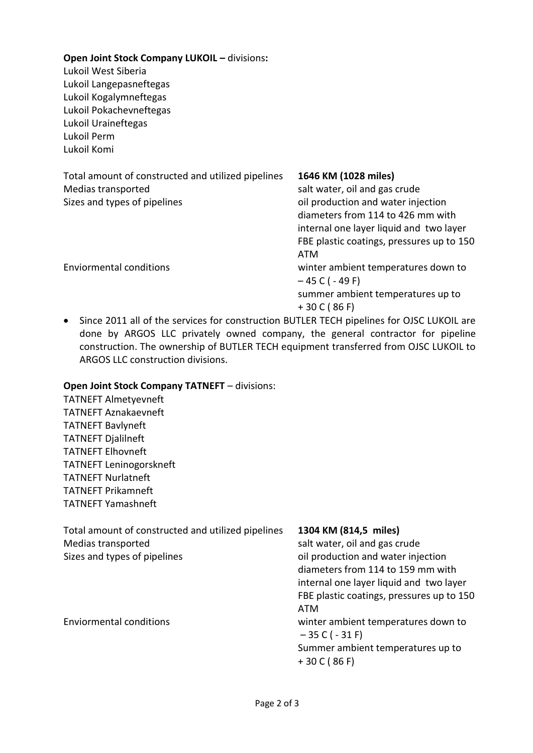**Open Joint Stock Company LUKOIL –** divisions**:** Lukoil West Siberia Lukoil Langepasneftegas Lukoil Kogalymneftegas Lukoil Pokachevneftegas Lukoil Uraineftegas Lukoil Perm Lukoil Komi Total amount of constructed and utilized pipelines **1646 KM (1028 miles)** Medias transported salt water, oil and gas crude Sizes and types of pipelines on the state of production and water injection diameters from 114 to 426 mm with internal one layer liquid and two layer FBE plastic coatings, pressures up to 150 ATM Enviormental conditions winter ambient temperatures down to  $-45$  C ( - 49 F) summer ambient temperatures up to + 30 C ( 86 F)

• Since 2011 all of the services for construction BUTLER TECH pipelines for OJSC LUKOIL are done by ARGOS LLC privately owned company, the general contractor for pipeline construction. The ownership of BUTLER TECH equipment transferred from OJSC LUKOIL to ARGOS LLC construction divisions.

## **Open Joint Stock Company TATNEFT** – divisions:

TATNEFT Almetyevneft TATNEFT Aznakaevneft TATNEFT Bavlyneft TATNEFT Djalilneft TATNEFT Elhovneft TATNEFT Leninogorskneft TATNEFT Nurlatneft TATNEFT Prikamneft TATNEFT Yamashneft

| Total amount of constructed and utilized pipelines | 1304 KM (814,5 miles)                     |
|----------------------------------------------------|-------------------------------------------|
| Medias transported                                 | salt water, oil and gas crude             |
| Sizes and types of pipelines                       | oil production and water injection        |
|                                                    | diameters from 114 to 159 mm with         |
|                                                    | internal one layer liquid and two layer   |
|                                                    | FBE plastic coatings, pressures up to 150 |
|                                                    | ATM                                       |
| <b>Enviormental conditions</b>                     | winter ambient temperatures down to       |

 $-35 C (-31 F)$ Summer ambient temperatures up to

+ 30 C ( 86 F)